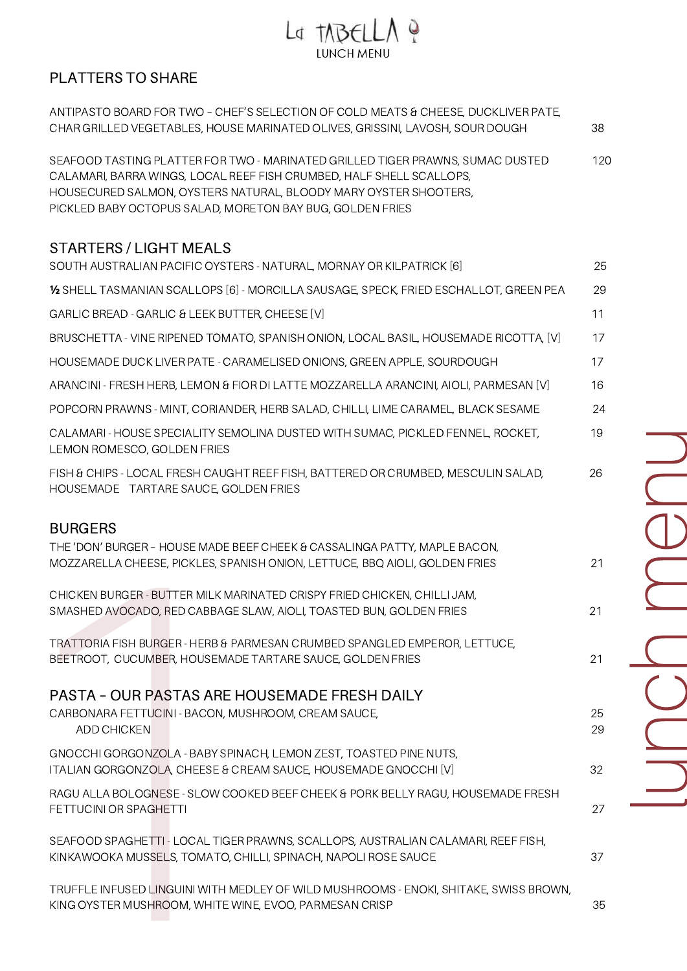## La TABELLA Q LUNCH MENU

## PLATTERS TO SHARE

| ANTIPASTO BOARD FOR TWO - CHEF'S SELECTION OF COLD MEATS & CHEESE, DUCKLIVER PATE,<br>CHAR GRILLED VEGETABLES, HOUSE MARINATED OLIVES, GRISSINI, LAVOSH, SOUR DOUGH                                                                                                                     | 38       |
|-----------------------------------------------------------------------------------------------------------------------------------------------------------------------------------------------------------------------------------------------------------------------------------------|----------|
| SEAFOOD TASTING PLATTER FOR TWO - MARINATED GRILLED TIGER PRAWNS, SUMAC DUSTED<br>CALAMARI, BARRA WINGS, LOCAL REEF FISH CRUMBED, HALF SHELL SCALLOPS,<br>HOUSECURED SALMON, OYSTERS NATURAL, BLOODY MARY OYSTER SHOOTERS,<br>PICKLED BABY OCTOPUS SALAD, MORETON BAY BUG, GOLDEN FRIES | 120      |
| <b>STARTERS / LIGHT MEALS</b><br>SOUTH AUSTRALIAN PACIFIC OYSTERS - NATURAL, MORNAY OR KILPATRICK [6]                                                                                                                                                                                   | 25       |
| 1/2 SHELL TASMANIAN SCALLOPS [6] - MORCILLA SAUSAGE, SPECK, FRIED ESCHALLOT, GREEN PEA                                                                                                                                                                                                  | 29       |
| GARLIC BREAD - GARLIC & LEEK BUTTER, CHEESE [V]                                                                                                                                                                                                                                         | 11       |
| BRUSCHETTA - VINE RIPENED TOMATO, SPANISH ONION, LOCAL BASIL, HOUSEMADE RICOTTA, [V]                                                                                                                                                                                                    | 17       |
| HOUSEMADE DUCK LIVER PATE - CARAMELISED ONIONS, GREEN APPLE, SOURDOUGH                                                                                                                                                                                                                  | 17       |
| ARANCINI - FRESH HERB, LEMON & FIOR DI LATTE MOZZARELLA ARANCINI, AIOLI, PARMESAN [V]                                                                                                                                                                                                   | 16       |
| POPCORN PRAWNS - MINT, CORIANDER, HERB SALAD, CHILLI, LIME CARAMEL, BLACK SESAME                                                                                                                                                                                                        | 24       |
| CALAMARI - HOUSE SPECIALITY SEMOLINA DUSTED WITH SUMAC, PICKLED FENNEL, ROCKET,<br>LEMON ROMESCO, GOLDEN FRIES                                                                                                                                                                          | 19       |
| FISH & CHIPS - LOCAL FRESH CAUGHT REEF FISH, BATTERED OR CRUMBED, MESCULIN SALAD,<br>HOUSEMADE TARTARE SAUCE, GOLDEN FRIES                                                                                                                                                              | 26       |
| <b>BURGERS</b><br>THE 'DON' BURGER - HOUSE MADE BEEF CHEEK & CASSALINGA PATTY, MAPLE BACON,<br>MOZZARELLA CHEESE, PICKLES, SPANISH ONION, LETTUCE, BBQ AIOLI, GOLDEN FRIES                                                                                                              | 21       |
| CHICKEN BURGER - BUTTER MILK MARINATED CRISPY FRIED CHICKEN, CHILLI JAM,<br>SMASHED AVOCADO, RED CABBAGE SLAW, AIOLI, TOASTED BUN, GOLDEN FRIES                                                                                                                                         | 21       |
| TRATTORIA FISH BURGER - HERB & PARMESAN CRUMBED SPANGLED EMPEROR, LETTUCE,<br>BEETROOT, CUCUMBER, HOUSEMADE TARTARE SAUCE, GOLDEN FRIES                                                                                                                                                 | 21       |
| PASTA - OUR PASTAS ARE HOUSEMADE FRESH DAILY                                                                                                                                                                                                                                            |          |
| CARBONARA FETTUCINI - BACON, MUSHROOM, CREAM SAUCE,<br><b>ADD CHICKEN</b>                                                                                                                                                                                                               | 25<br>29 |
| GNOCCHI GORGONZOLA - BABY SPINACH, LEMON ZEST, TOASTED PINE NUTS,<br>ITALIAN GORGONZOLA, CHEESE & CREAM SAUCE, HOUSEMADE GNOCCHI [V]                                                                                                                                                    | 32       |
| RAGU ALLA BOLOGNESE - SLOW COOKED BEEF CHEEK & PORK BELLY RAGU, HOUSEMADE FRESH<br>FETTUCINI OR SPAGHETTI                                                                                                                                                                               | 27       |
| SEAFOOD SPAGHETTI - LOCAL TIGER PRAWNS, SCALLOPS, AUSTRALIAN CALAMARI, REEF FISH,<br>KINKAWOOKA MUSSELS, TOMATO, CHILLI, SPINACH, NAPOLI ROSE SAUCE                                                                                                                                     | 37       |
| TRUFFLE INFUSED LINGUINI WITH MEDLEY OF WILD MUSHROOMS - ENOKI, SHITAKE, SWISS BROWN,<br>KING OYSTER MUSHROOM, WHITE WINE, EVOO, PARMESAN CRISP                                                                                                                                         | 35       |
|                                                                                                                                                                                                                                                                                         |          |

<u>la serie de la construcción de la construcción de la construcción de la construcción de la construcción de la </u> u $\Box$  $\bigcirc$ h $\sum$  $\bigcirc$  $\Box$ u